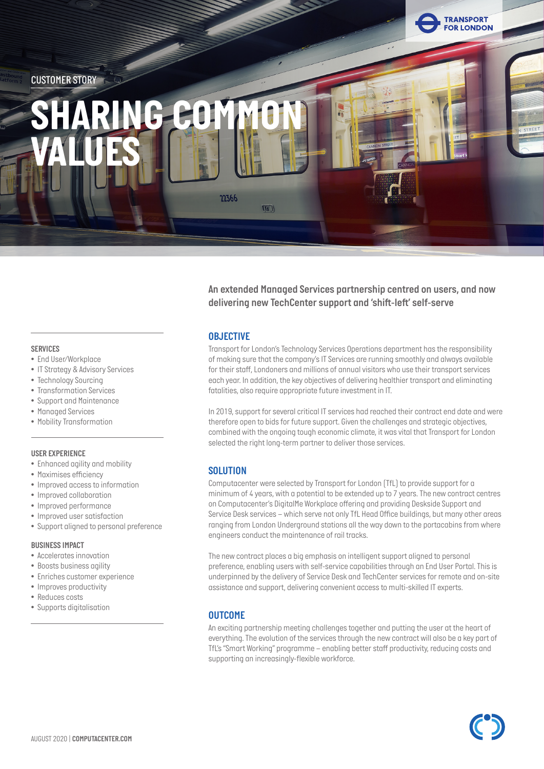

*An extended Managed Services partnership centred on users, and now delivering new TechCenter support and 'shift-left' self-serve*

### *OBJECTIVE*

*Transport for London's Technology Services Operations department has the responsibility of making sure that the company's IT Services are running smoothly and always available for their staff, Londoners and millions of annual visitors who use their transport services each year. In addition, the key objectives of delivering healthier transport and eliminating fatalities, also require appropriate future investment in IT.* 

*In 2019, support for several critical IT services had reached their contract end date and were therefore open to bids for future support. Given the challenges and strategic objectives, combined with the ongoing tough economic climate, it was vital that Transport for London selected the right long-term partner to deliver those services.*

## *SOLUTION*

*Computacenter were selected by Transport for London (TfL) to provide support for a minimum of 4 years, with a potential to be extended up to 7 years. The new contract centres on Computacenter's DigitalMe Workplace offering and providing Deskside Support and Service Desk services – which serve not only TfL Head Office buildings, but many other areas ranging from London Underground stations all the way down to the portacabins from where engineers conduct the maintenance of rail tracks.* 

*The new contract places a big emphasis on intelligent support aligned to personal preference, enabling users with self-service capabilities through an End User Portal. This is underpinned by the delivery of Service Desk and TechCenter services for remote and on-site assistance and support, delivering convenient access to multi-skilled IT experts.* 

### *OUTCOME*

*An exciting partnership meeting challenges together and putting the user at the heart of everything. The evolution of the services through the new contract will also be a key part of TfL's "Smart Working" programme – enabling better staff productivity, reducing costs and supporting an increasingly-flexible workforce.*

### *SERVICES*

- *• End User/Workplace*
- *• IT Strategy & Advisory Services*
- *• Technology Sourcing*
- *• Transformation Services*
- *• Support and Maintenance*
- *• Managed Services*
- *• Mobility Transformation*

### *USER EXPERIENCE*

- *• Enhanced agility and mobility*
- *• Maximises efficiency*
- *• Improved access to information*
- *• Improved collaboration*
- *• Improved performance*
- *• Improved user satisfaction*
- *• Support aligned to personal preference*

### *BUSINESS IMPACT*

- *• Accelerates innovation*
- *• Boosts business agility*
- *• Enriches customer experience*
- *• Improves productivity*
- *• Reduces costs*
- *• Supports digitalisation*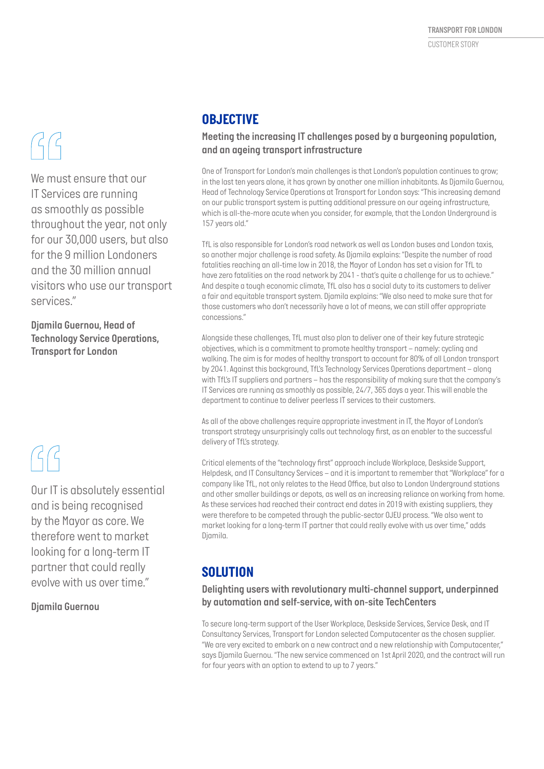*We must ensure that our IT Services are running as smoothly as possible throughout the year, not only for our 30,000 users, but also for the 9 million Londoners and the 30 million annual visitors who use our transport services."*

*Djamila Guernou, Head of Technology Service Operations, Transport for London*

*Our IT is absolutely essential and is being recognised by the Mayor as core. We therefore went to market looking for a long-term IT partner that could really evolve with us over time."*

*Djamila Guernou*

# *OBJECTIVE*

## *Meeting the increasing IT challenges posed by a burgeoning population, and an ageing transport infrastructure*

*One of Transport for London's main challenges is that London's population continues to grow; in the last ten years alone, it has grown by another one million inhabitants. As Djamila Guernou, Head of Technology Service Operations at Transport for London says: "This increasing demand on our public transport system is putting additional pressure on our ageing infrastructure, which is all-the-more acute when you consider, for example, that the London Underground is 157 years old."* 

*TfL is also responsible for London's road network as well as London buses and London taxis, so another major challenge is road safety. As Djamila explains: "Despite the number of road fatalities reaching an all-time low in 2018, the Mayor of London has set a vision for TfL to have zero fatalities on the road network by 2041 - that's quite a challenge for us to achieve." And despite a tough economic climate, TfL also has a social duty to its customers to deliver a fair and equitable transport system. Djamila explains: "We also need to make sure that for those customers who don't necessarily have a lot of means, we can still offer appropriate concessions."*

*Alongside these challenges, TfL must also plan to deliver one of their key future strategic objectives, which is a commitment to promote healthy transport – namely: cycling and walking. The aim is for modes of healthy transport to account for 80% of all London transport by 2041. Against this background, TfL's Technology Services Operations department – along with TfL's IT suppliers and partners – has the responsibility of making sure that the company's IT Services are running as smoothly as possible, 24/7, 365 days a year. This will enable the department to continue to deliver peerless IT services to their customers.*

*As all of the above challenges require appropriate investment in IT, the Mayor of London's transport strategy unsurprisingly calls out technology first, as an enabler to the successful delivery of TfL's strategy.* 

*Critical elements of the "technology first" approach include Workplace, Deskside Support, Helpdesk, and IT Consultancy Services – and it is important to remember that "Workplace" for a company like TfL, not only relates to the Head Office, but also to London Underground stations and other smaller buildings or depots, as well as an increasing reliance on working from home. As these services had reached their contract end dates in 2019 with existing suppliers, they were therefore to be competed through the public-sector OJEU process. "We also went to market looking for a long-term IT partner that could really evolve with us over time," adds Djamila.*

## *SOLUTION*

## *Delighting users with revolutionary multi-channel support, underpinned by automation and self-service, with on-site TechCenters*

*To secure long-term support of the User Workplace, Deskside Services, Service Desk, and IT Consultancy Services, Transport for London selected Computacenter as the chosen supplier. "We are very excited to embark on a new contract and a new relationship with Computacenter," says Djamila Guernou. "The new service commenced on 1st April 2020, and the contract will run for four years with an option to extend to up to 7 years."*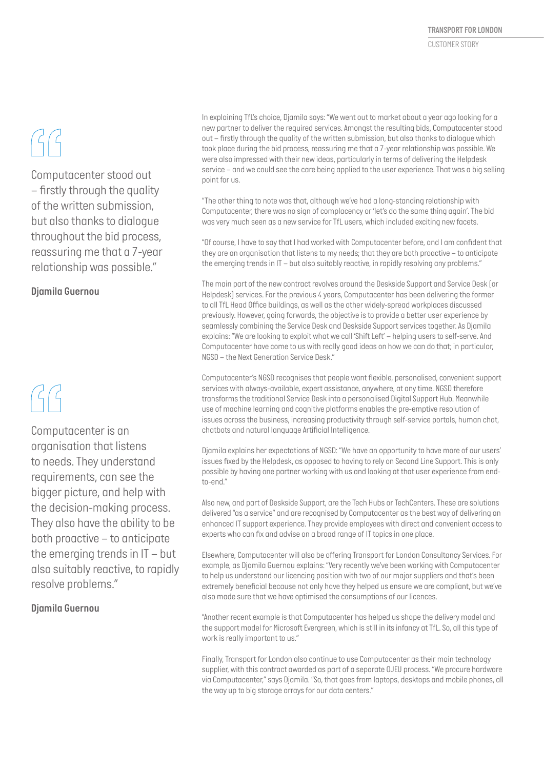# $G$

*Computacenter stood out – firstly through the quality of the written submission, but also thanks to dialogue throughout the bid process, reassuring me that a 7-year relationship was possible."*

## *Djamila Guernou*

*Computacenter is an organisation that listens to needs. They understand requirements, can see the bigger picture, and help with the decision-making process. They also have the ability to be both proactive – to anticipate the emerging trends in IT – but also suitably reactive, to rapidly resolve problems."*

### *Djamila Guernou*

*In explaining TfL's choice, Djamila says: "We went out to market about a year ago looking for a new partner to deliver the required services. Amongst the resulting bids, Computacenter stood out – firstly through the quality of the written submission, but also thanks to dialogue which took place during the bid process, reassuring me that a 7-year relationship was possible. We were also impressed with their new ideas, particularly in terms of delivering the Helpdesk service – and we could see the care being applied to the user experience. That was a big selling point for us.*

*"The other thing to note was that, although we've had a long-standing relationship with Computacenter, there was no sign of complacency or 'let's do the same thing again'. The bid was very much seen as a new service for TfL users, which included exciting new facets.*

*"Of course, I have to say that I had worked with Computacenter before, and I am confident that they are an organisation that listens to my needs; that they are both proactive – to anticipate the emerging trends in IT – but also suitably reactive, in rapidly resolving any problems."*

*The main part of the new contract revolves around the Deskside Support and Service Desk (or Helpdesk) services. For the previous 4 years, Computacenter has been delivering the former to all TfL Head Office buildings, as well as the other widely-spread workplaces discussed previously. However, going forwards, the objective is to provide a better user experience by seamlessly combining the Service Desk and Deskside Support services together. As Djamila explains: "We are looking to exploit what we call 'Shift Left' – helping users to self-serve. And Computacenter have come to us with really good ideas on how we can do that; in particular, NGSD – the Next Generation Service Desk."* 

*Computacenter's NGSD recognises that people want flexible, personalised, convenient support services with always-available, expert assistance, anywhere, at any time. NGSD therefore transforms the traditional Service Desk into a personalised Digital Support Hub. Meanwhile use of machine learning and cognitive platforms enables the pre-emptive resolution of issues across the business, increasing productivity through self-service portals, human chat, chatbots and natural language Artificial Intelligence.*

*Djamila explains her expectations of NGSD: "We have an opportunity to have more of our users' issues fixed by the Helpdesk, as opposed to having to rely on Second Line Support. This is only possible by having one partner working with us and looking at that user experience from endto-end."*

*Also new, and part of Deskside Support, are the Tech Hubs or TechCenters. These are solutions delivered "as a service" and are recognised by Computacenter as the best way of delivering an enhanced IT support experience. They provide employees with direct and convenient access to experts who can fix and advise on a broad range of IT topics in one place.* 

*Elsewhere, Computacenter will also be offering Transport for London Consultancy Services. For example, as Djamila Guernou explains: "Very recently we've been working with Computacenter to help us understand our licencing position with two of our major suppliers and that's been*  extremely beneficial because not only have they helped us ensure we are compliant, but we've *also made sure that we have optimised the consumptions of our licences.* 

*"Another recent example is that Computacenter has helped us shape the delivery model and the support model for Microsoft Evergreen, which is still in its infancy at TfL. So, all this type of work is really important to us."*

*Finally, Transport for London also continue to use Computacenter as their main technology supplier, with this contract awarded as part of a separate OJEU process. "We procure hardware via Computacenter," says Djamila. "So, that goes from laptops, desktops and mobile phones, all the way up to big storage arrays for our data centers."*